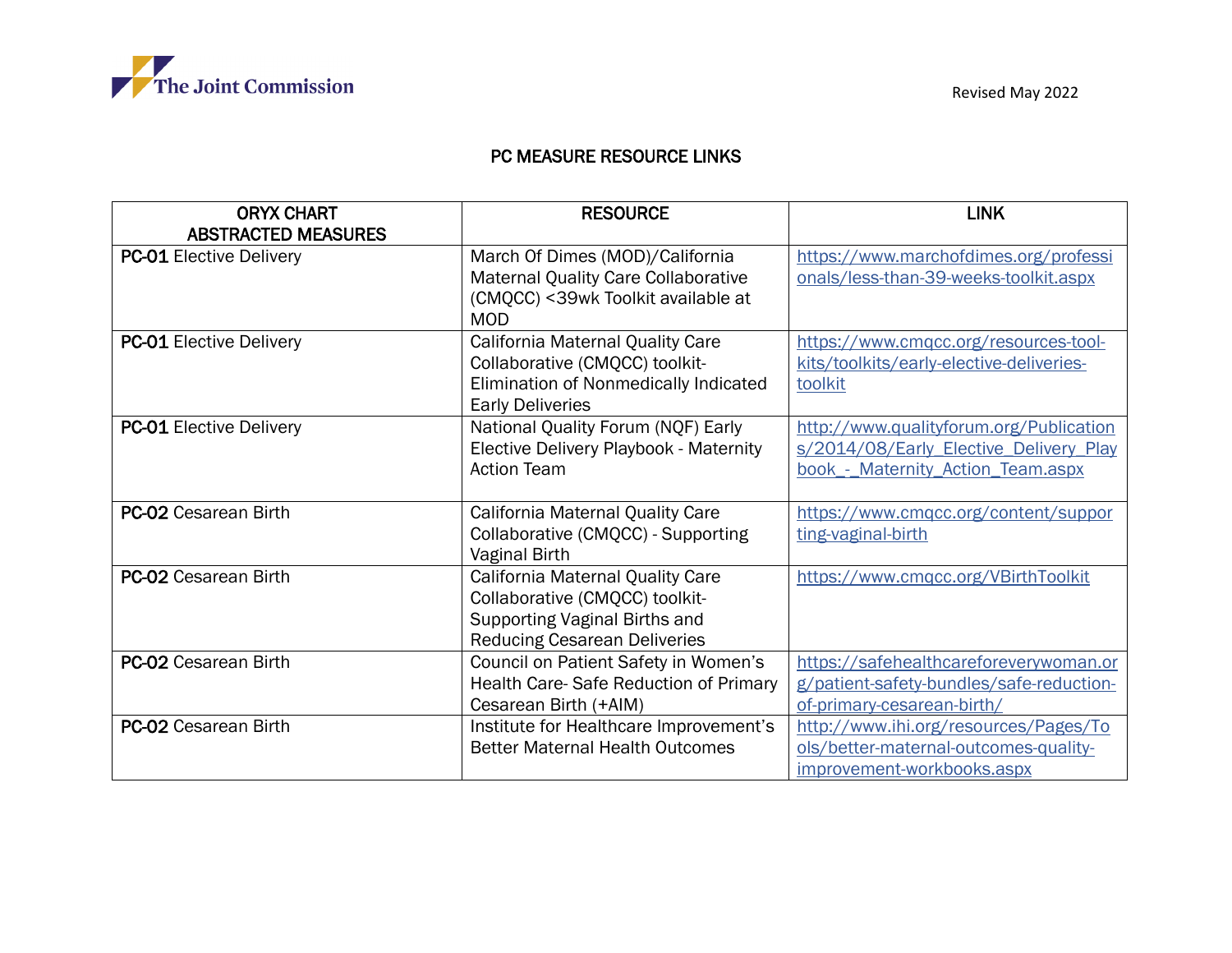

## PC MEASURE RESOURCE LINKS

| <b>ORYX CHART</b><br><b>ABSTRACTED MEASURES</b> | <b>RESOURCE</b>                                                                                                                            | <b>LINK</b>                                                                                                            |
|-------------------------------------------------|--------------------------------------------------------------------------------------------------------------------------------------------|------------------------------------------------------------------------------------------------------------------------|
| <b>PC-01 Elective Delivery</b>                  | March Of Dimes (MOD)/California<br>Maternal Quality Care Collaborative<br>(CMQCC) < 39wk Toolkit available at<br><b>MOD</b>                | https://www.marchofdimes.org/professi<br>onals/less-than-39-weeks-toolkit.aspx                                         |
| <b>PC-01 Elective Delivery</b>                  | California Maternal Quality Care<br>Collaborative (CMQCC) toolkit-<br>Elimination of Nonmedically Indicated<br><b>Early Deliveries</b>     | https://www.cmqcc.org/resources-tool-<br>kits/toolkits/early-elective-deliveries-<br>toolkit                           |
| <b>PC-01 Elective Delivery</b>                  | National Quality Forum (NQF) Early<br>Elective Delivery Playbook - Maternity<br><b>Action Team</b>                                         | http://www.qualityforum.org/Publication<br>s/2014/08/Early Elective Delivery Play<br>book - Maternity Action Team.aspx |
| <b>PC-02 Cesarean Birth</b>                     | California Maternal Quality Care<br>Collaborative (CMQCC) - Supporting<br>Vaginal Birth                                                    | https://www.cmgcc.org/content/suppor<br>ting-vaginal-birth                                                             |
| <b>PC-02 Cesarean Birth</b>                     | California Maternal Quality Care<br>Collaborative (CMQCC) toolkit-<br>Supporting Vaginal Births and<br><b>Reducing Cesarean Deliveries</b> | https://www.cmgcc.org/VBirthToolkit                                                                                    |
| <b>PC-02 Cesarean Birth</b>                     | Council on Patient Safety in Women's<br>Health Care-Safe Reduction of Primary<br>Cesarean Birth (+AIM)                                     | https://safehealthcareforeverywoman.or<br>g/patient-safety-bundles/safe-reduction-<br>of-primary-cesarean-birth/       |
| <b>PC-02 Cesarean Birth</b>                     | Institute for Healthcare Improvement's<br><b>Better Maternal Health Outcomes</b>                                                           | http://www.ihi.org/resources/Pages/To<br>ols/better-maternal-outcomes-quality-<br>improvement-workbooks.aspx           |